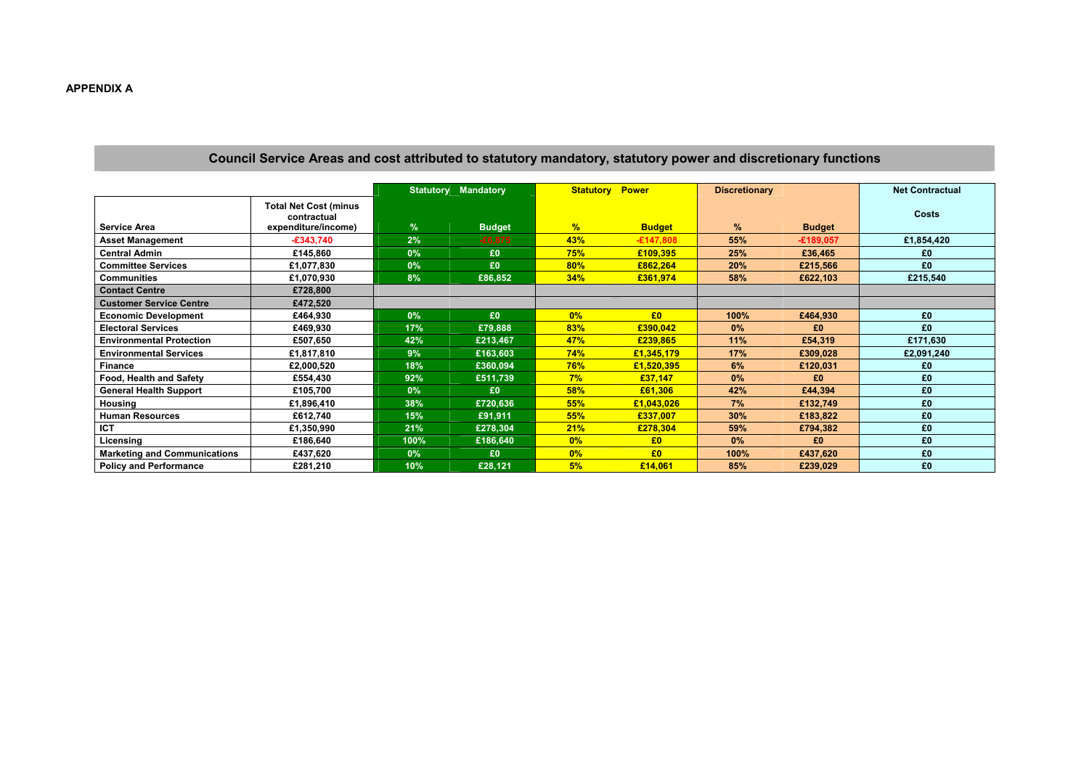## Council Service Areas and cost attributed to statutory mandatory, statutory power and discretionary functions

|                                     |                                                                    | <b>Mandatory</b><br><b>Statutory</b> |               | <b>Power</b><br><b>Statutory</b> |                | <b>Discretionary</b> |               | <b>Net Contractual</b> |
|-------------------------------------|--------------------------------------------------------------------|--------------------------------------|---------------|----------------------------------|----------------|----------------------|---------------|------------------------|
| <b>Service Area</b>                 | <b>Total Net Cost (minus</b><br>contractual<br>expenditure/income) | $\frac{9}{6}$                        | <b>Budget</b> | %                                | <b>Budget</b>  | %                    | <b>Budget</b> | <b>Costs</b>           |
| <b>Asset Management</b>             | $-£343,740$                                                        | 2%                                   | $-£6,875$     | 43%                              | $-£147,808$    | 55%                  | $-£189,057$   | £1,854,420             |
| <b>Central Admin</b>                | £145,860                                                           | 0%                                   | £0            | 75%                              | £109,395       | 25%                  | £36,465       | £0                     |
| <b>Committee Services</b>           | £1,077,830                                                         | 0%                                   | £0            | 80%                              | £862,264       | 20%                  | £215,566      | £0                     |
| <b>Communities</b>                  | £1,070,930                                                         | 8%                                   | £86,852       | 34%                              | £361,974       | 58%                  | £622,103      | £215,540               |
| <b>Contact Centre</b>               | £728,800                                                           |                                      |               |                                  |                |                      |               |                        |
| <b>Customer Service Centre</b>      | £472,520                                                           |                                      |               |                                  |                |                      |               |                        |
| <b>Economic Development</b>         | £464,930                                                           | 0%                                   | £0            | $0\%$                            | E <sub>0</sub> | 100%                 | £464,930      | £0                     |
| <b>Electoral Services</b>           | £469,930                                                           | 17%                                  | £79,888       | 83%                              | £390,042       | $0\%$                | £0            | £0                     |
| <b>Environmental Protection</b>     | £507,650                                                           | 42%                                  | £213,467      | 47%                              | £239,865       | 11%                  | £54,319       | £171,630               |
| <b>Environmental Services</b>       | £1,817,810                                                         | 9%                                   | £163,603      | 74%                              | £1,345,179     | 17%                  | £309,028      | £2,091,240             |
| <b>Finance</b>                      | £2,000,520                                                         | 18%                                  | £360,094      | <b>76%</b>                       | £1,520,395     | 6%                   | £120,031      | £0                     |
| <b>Food, Health and Safety</b>      | £554,430                                                           | 92%                                  | £511,739      | 7%                               | £37,147        | 0%                   | £0            | £0                     |
| <b>General Health Support</b>       | £105,700                                                           | 0%                                   | £0            | 58%                              | £61,306        | 42%                  | £44,394       | £0                     |
| <b>Housing</b>                      | £1,896,410                                                         | 38%                                  | £720,636      | 55%                              | £1,043,026     | 7%                   | £132,749      | £0                     |
| <b>Human Resources</b>              | £612,740                                                           | 15%                                  | £91,911       | 55%                              | £337,007       | 30%                  | £183,822      | £0                     |
| <b>ICT</b>                          | £1,350,990                                                         | 21%                                  | £278,304      | 21%                              | £278,304       | 59%                  | £794,382      | £0                     |
| Licensing                           | £186,640                                                           | 100%                                 | £186,640      | $0\%$                            | £0             | $0\%$                | £0            | £0                     |
| <b>Marketing and Communications</b> | £437,620                                                           | 0%                                   | £0            | 0%                               | £0             | 100%                 | £437,620      | £0                     |
| <b>Policy and Performance</b>       | £281,210                                                           | 10%                                  | £28,121       | 5%                               | £14,061        | 85%                  | £239,029      | £0                     |